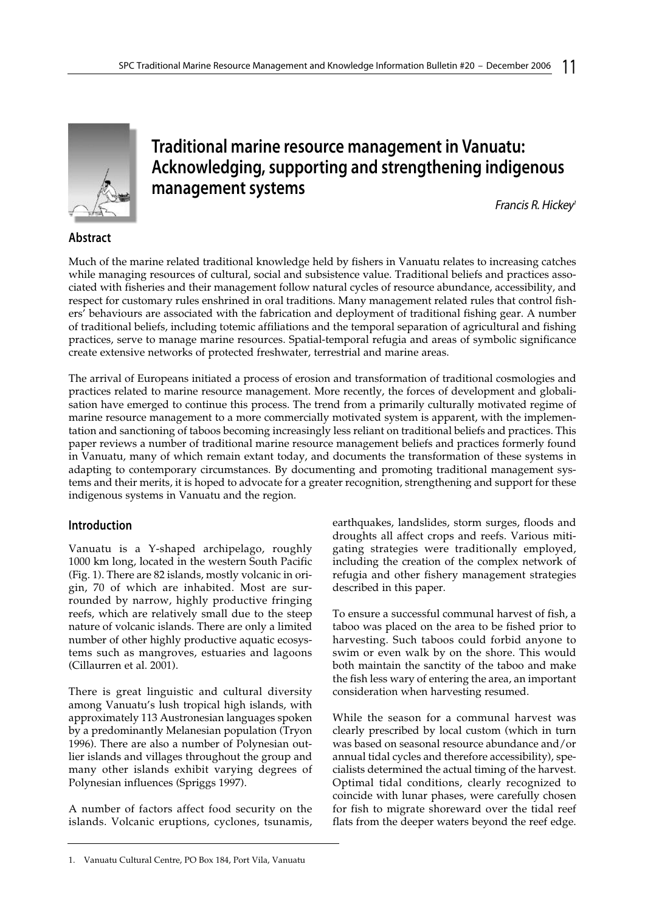

# **Traditional marine resource management in Vanuatu: Acknowledging, supporting and strengthening indigenous management systems**

Francis R. Hickey<sup>1</sup>

# **Abstract**

Much of the marine related traditional knowledge held by fishers in Vanuatu relates to increasing catches while managing resources of cultural, social and subsistence value. Traditional beliefs and practices associated with fisheries and their management follow natural cycles of resource abundance, accessibility, and respect for customary rules enshrined in oral traditions. Many management related rules that control fishers' behaviours are associated with the fabrication and deployment of traditional fishing gear. A number of traditional beliefs, including totemic affiliations and the temporal separation of agricultural and fishing practices, serve to manage marine resources. Spatial-temporal refugia and areas of symbolic significance create extensive networks of protected freshwater, terrestrial and marine areas.

The arrival of Europeans initiated a process of erosion and transformation of traditional cosmologies and practices related to marine resource management. More recently, the forces of development and globalisation have emerged to continue this process. The trend from a primarily culturally motivated regime of marine resource management to a more commercially motivated system is apparent, with the implementation and sanctioning of taboos becoming increasingly less reliant on traditional beliefs and practices. This paper reviews a number of traditional marine resource management beliefs and practices formerly found in Vanuatu, many of which remain extant today, and documents the transformation of these systems in adapting to contemporary circumstances. By documenting and promoting traditional management systems and their merits, it is hoped to advocate for a greater recognition, strengthening and support for these indigenous systems in Vanuatu and the region.

# **Introduction**

Vanuatu is a Y-shaped archipelago, roughly 1000 km long, located in the western South Pacific (Fig. 1). There are 82 islands, mostly volcanic in origin, 70 of which are inhabited. Most are surrounded by narrow, highly productive fringing reefs, which are relatively small due to the steep nature of volcanic islands. There are only a limited number of other highly productive aquatic ecosystems such as mangroves, estuaries and lagoons (Cillaurren et al. 2001).

There is great linguistic and cultural diversity among Vanuatu's lush tropical high islands, with approximately 113 Austronesian languages spoken by a predominantly Melanesian population (Tryon 1996). There are also a number of Polynesian outlier islands and villages throughout the group and many other islands exhibit varying degrees of Polynesian influences (Spriggs 1997).

A number of factors affect food security on the islands. Volcanic eruptions, cyclones, tsunamis,

earthquakes, landslides, storm surges, floods and droughts all affect crops and reefs. Various mitigating strategies were traditionally employed, including the creation of the complex network of refugia and other fishery management strategies described in this paper.

To ensure a successful communal harvest of fish, a taboo was placed on the area to be fished prior to harvesting. Such taboos could forbid anyone to swim or even walk by on the shore. This would both maintain the sanctity of the taboo and make the fish less wary of entering the area, an important consideration when harvesting resumed.

While the season for a communal harvest was clearly prescribed by local custom (which in turn was based on seasonal resource abundance and/or annual tidal cycles and therefore accessibility), specialists determined the actual timing of the harvest. Optimal tidal conditions, clearly recognized to coincide with lunar phases, were carefully chosen for fish to migrate shoreward over the tidal reef flats from the deeper waters beyond the reef edge.

<sup>1.</sup> Vanuatu Cultural Centre, PO Box 184, Port Vila, Vanuatu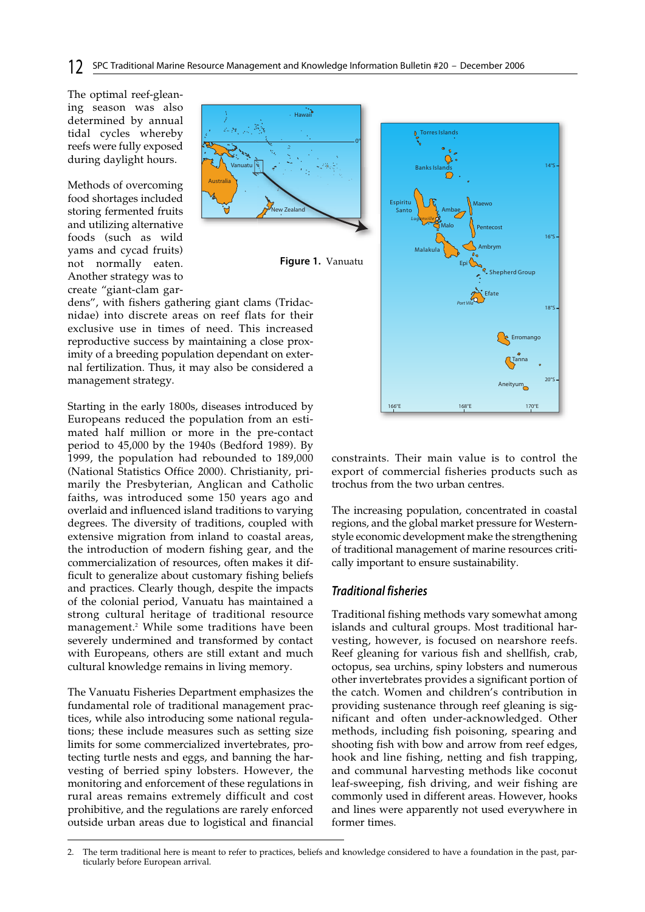#### **12** SPC Traditional Marine Resource Management and Knowledge Information Bulletin #20 – December 2006

The optimal reef-gleaning season was also determined by annual tidal cycles whereby reefs were fully exposed during daylight hours.

Methods of overcoming food shortages included storing fermented fruits and utilizing alternative foods (such as wild yams and cycad fruits) not normally eaten. Another strategy was to create "giant-clam gar-





dens", with fishers gathering giant clams (Tridacnidae) into discrete areas on reef flats for their exclusive use in times of need. This increased reproductive success by maintaining a close proximity of a breeding population dependant on external fertilization. Thus, it may also be considered a management strategy.

Starting in the early 1800s, diseases introduced by Europeans reduced the population from an estimated half million or more in the pre-contact period to 45,000 by the 1940s (Bedford 1989). By 1999, the population had rebounded to 189,000 (National Statistics Office 2000). Christianity, primarily the Presbyterian, Anglican and Catholic faiths, was introduced some 150 years ago and overlaid and influenced island traditions to varying degrees. The diversity of traditions, coupled with extensive migration from inland to coastal areas, the introduction of modern fishing gear, and the commercialization of resources, often makes it difficult to generalize about customary fishing beliefs and practices. Clearly though, despite the impacts of the colonial period, Vanuatu has maintained a strong cultural heritage of traditional resource management.2 While some traditions have been severely undermined and transformed by contact with Europeans, others are still extant and much cultural knowledge remains in living memory.

The Vanuatu Fisheries Department emphasizes the fundamental role of traditional management practices, while also introducing some national regulations; these include measures such as setting size limits for some commercialized invertebrates, protecting turtle nests and eggs, and banning the harvesting of berried spiny lobsters. However, the monitoring and enforcement of these regulations in rural areas remains extremely difficult and cost prohibitive, and the regulations are rarely enforced outside urban areas due to logistical and financial



constraints. Their main value is to control the export of commercial fisheries products such as trochus from the two urban centres.

The increasing population, concentrated in coastal regions, and the global market pressure for Westernstyle economic development make the strengthening of traditional management of marine resources critically important to ensure sustainability.

#### **Traditional fisheries**

Traditional fishing methods vary somewhat among islands and cultural groups. Most traditional harvesting, however, is focused on nearshore reefs. Reef gleaning for various fish and shellfish, crab, octopus, sea urchins, spiny lobsters and numerous other invertebrates provides a significant portion of the catch. Women and children's contribution in providing sustenance through reef gleaning is significant and often under-acknowledged. Other methods, including fish poisoning, spearing and shooting fish with bow and arrow from reef edges, hook and line fishing, netting and fish trapping, and communal harvesting methods like coconut leaf-sweeping, fish driving, and weir fishing are commonly used in different areas. However, hooks and lines were apparently not used everywhere in former times.

<sup>2.</sup> The term traditional here is meant to refer to practices, beliefs and knowledge considered to have a foundation in the past, particularly before European arrival.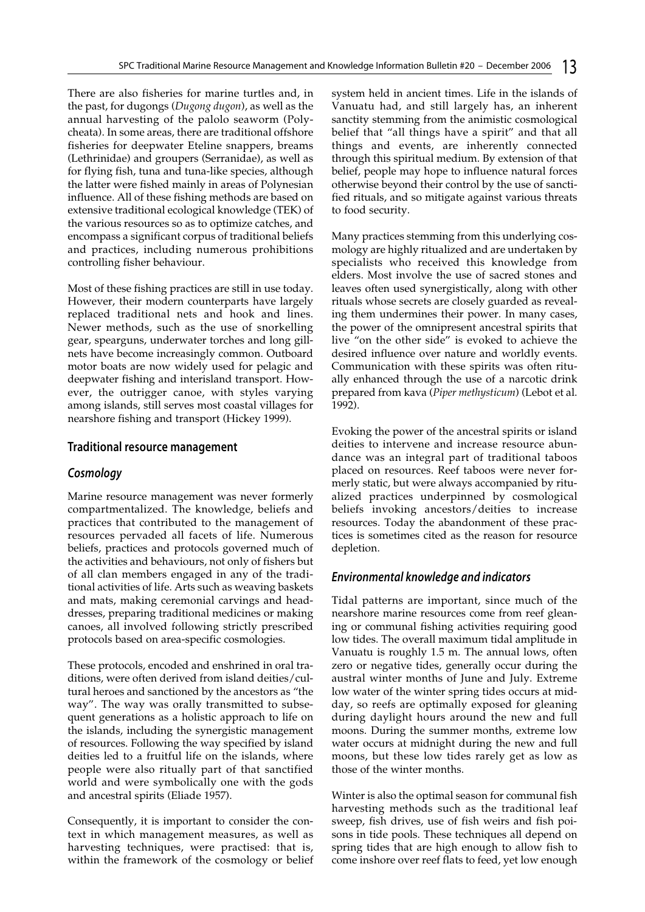There are also fisheries for marine turtles and, in the past, for dugongs (*Dugong dugon*), as well as the annual harvesting of the palolo seaworm (Polycheata). In some areas, there are traditional offshore fisheries for deepwater Eteline snappers, breams (Lethrinidae) and groupers (Serranidae), as well as for flying fish, tuna and tuna-like species, although the latter were fished mainly in areas of Polynesian influence. All of these fishing methods are based on extensive traditional ecological knowledge (TEK) of the various resources so as to optimize catches, and encompass a significant corpus of traditional beliefs and practices, including numerous prohibitions controlling fisher behaviour.

Most of these fishing practices are still in use today. However, their modern counterparts have largely replaced traditional nets and hook and lines. Newer methods, such as the use of snorkelling gear, spearguns, underwater torches and long gillnets have become increasingly common. Outboard motor boats are now widely used for pelagic and deepwater fishing and interisland transport. However, the outrigger canoe, with styles varying among islands, still serves most coastal villages for nearshore fishing and transport (Hickey 1999).

#### **Traditional resource management**

#### **Cosmology**

Marine resource management was never formerly compartmentalized. The knowledge, beliefs and practices that contributed to the management of resources pervaded all facets of life. Numerous beliefs, practices and protocols governed much of the activities and behaviours, not only of fishers but of all clan members engaged in any of the traditional activities of life. Arts such as weaving baskets and mats, making ceremonial carvings and headdresses, preparing traditional medicines or making canoes, all involved following strictly prescribed protocols based on area-specific cosmologies.

These protocols, encoded and enshrined in oral traditions, were often derived from island deities/cultural heroes and sanctioned by the ancestors as "the way". The way was orally transmitted to subsequent generations as a holistic approach to life on the islands, including the synergistic management of resources. Following the way specified by island deities led to a fruitful life on the islands, where people were also ritually part of that sanctified world and were symbolically one with the gods and ancestral spirits (Eliade 1957).

Consequently, it is important to consider the context in which management measures, as well as harvesting techniques, were practised: that is, within the framework of the cosmology or belief system held in ancient times. Life in the islands of Vanuatu had, and still largely has, an inherent sanctity stemming from the animistic cosmological belief that "all things have a spirit" and that all things and events, are inherently connected through this spiritual medium. By extension of that belief, people may hope to influence natural forces otherwise beyond their control by the use of sanctified rituals, and so mitigate against various threats to food security.

Many practices stemming from this underlying cosmology are highly ritualized and are undertaken by specialists who received this knowledge from elders. Most involve the use of sacred stones and leaves often used synergistically, along with other rituals whose secrets are closely guarded as revealing them undermines their power. In many cases, the power of the omnipresent ancestral spirits that live "on the other side" is evoked to achieve the desired influence over nature and worldly events. Communication with these spirits was often ritually enhanced through the use of a narcotic drink prepared from kava (*Piper methysticum*) (Lebot et al. 1992).

Evoking the power of the ancestral spirits or island deities to intervene and increase resource abundance was an integral part of traditional taboos placed on resources. Reef taboos were never formerly static, but were always accompanied by ritualized practices underpinned by cosmological beliefs invoking ancestors/deities to increase resources. Today the abandonment of these practices is sometimes cited as the reason for resource depletion.

#### **Environmental knowledge and indicators**

Tidal patterns are important, since much of the nearshore marine resources come from reef gleaning or communal fishing activities requiring good low tides. The overall maximum tidal amplitude in Vanuatu is roughly 1.5 m. The annual lows, often zero or negative tides, generally occur during the austral winter months of June and July. Extreme low water of the winter spring tides occurs at midday, so reefs are optimally exposed for gleaning during daylight hours around the new and full moons. During the summer months, extreme low water occurs at midnight during the new and full moons, but these low tides rarely get as low as those of the winter months.

Winter is also the optimal season for communal fish harvesting methods such as the traditional leaf sweep, fish drives, use of fish weirs and fish poisons in tide pools. These techniques all depend on spring tides that are high enough to allow fish to come inshore over reef flats to feed, yet low enough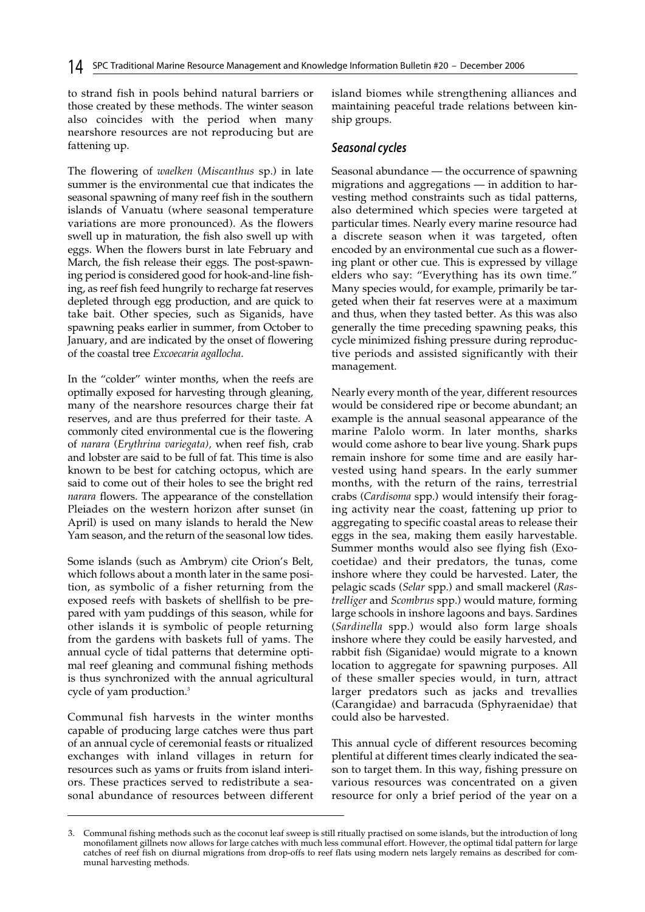to strand fish in pools behind natural barriers or those created by these methods. The winter season also coincides with the period when many nearshore resources are not reproducing but are fattening up.

The flowering of *waelken* (*Miscanthus* sp.) in late summer is the environmental cue that indicates the seasonal spawning of many reef fish in the southern islands of Vanuatu (where seasonal temperature variations are more pronounced). As the flowers swell up in maturation, the fish also swell up with eggs. When the flowers burst in late February and March, the fish release their eggs. The post-spawning period is considered good for hook-and-line fishing, as reef fish feed hungrily to recharge fat reserves depleted through egg production, and are quick to take bait. Other species, such as Siganids, have spawning peaks earlier in summer, from October to January, and are indicated by the onset of flowering of the coastal tree *Excoecaria agallocha*.

In the "colder" winter months, when the reefs are optimally exposed for harvesting through gleaning, many of the nearshore resources charge their fat reserves, and are thus preferred for their taste. A commonly cited environmental cue is the flowering of *narara* (*Erythrina variegata),* when reef fish, crab and lobster are said to be full of fat. This time is also known to be best for catching octopus, which are said to come out of their holes to see the bright red *narara* flowers. The appearance of the constellation Pleiades on the western horizon after sunset (in April) is used on many islands to herald the New Yam season, and the return of the seasonal low tides.

Some islands (such as Ambrym) cite Orion's Belt, which follows about a month later in the same position, as symbolic of a fisher returning from the exposed reefs with baskets of shellfish to be prepared with yam puddings of this season, while for other islands it is symbolic of people returning from the gardens with baskets full of yams. The annual cycle of tidal patterns that determine optimal reef gleaning and communal fishing methods is thus synchronized with the annual agricultural cycle of yam production.<sup>3</sup>

Communal fish harvests in the winter months capable of producing large catches were thus part of an annual cycle of ceremonial feasts or ritualized exchanges with inland villages in return for resources such as yams or fruits from island interiors. These practices served to redistribute a seasonal abundance of resources between different

island biomes while strengthening alliances and maintaining peaceful trade relations between kinship groups.

## **Seasonal cycles**

Seasonal abundance — the occurrence of spawning migrations and aggregations — in addition to harvesting method constraints such as tidal patterns, also determined which species were targeted at particular times. Nearly every marine resource had a discrete season when it was targeted, often encoded by an environmental cue such as a flowering plant or other cue. This is expressed by village elders who say: "Everything has its own time." Many species would, for example, primarily be targeted when their fat reserves were at a maximum and thus, when they tasted better. As this was also generally the time preceding spawning peaks, this cycle minimized fishing pressure during reproductive periods and assisted significantly with their management.

Nearly every month of the year, different resources would be considered ripe or become abundant; an example is the annual seasonal appearance of the marine Palolo worm. In later months, sharks would come ashore to bear live young. Shark pups remain inshore for some time and are easily harvested using hand spears. In the early summer months, with the return of the rains, terrestrial crabs (*Cardisoma* spp.) would intensify their foraging activity near the coast, fattening up prior to aggregating to specific coastal areas to release their eggs in the sea, making them easily harvestable. Summer months would also see flying fish (Exocoetidae) and their predators, the tunas, come inshore where they could be harvested. Later, the pelagic scads (*Selar* spp.) and small mackerel (*Rastrelliger* and *Scombrus* spp.) would mature, forming large schools in inshore lagoons and bays. Sardines (*Sardinella* spp.) would also form large shoals inshore where they could be easily harvested, and rabbit fish (Siganidae) would migrate to a known location to aggregate for spawning purposes. All of these smaller species would, in turn, attract larger predators such as jacks and trevallies (Carangidae) and barracuda (Sphyraenidae) that could also be harvested.

This annual cycle of different resources becoming plentiful at different times clearly indicated the season to target them. In this way, fishing pressure on various resources was concentrated on a given resource for only a brief period of the year on a

<sup>3.</sup> Communal fishing methods such as the coconut leaf sweep is still ritually practised on some islands, but the introduction of long monofilament gillnets now allows for large catches with much less communal effort. However, the optimal tidal pattern for large catches of reef fish on diurnal migrations from drop-offs to reef flats using modern nets largely remains as described for communal harvesting methods.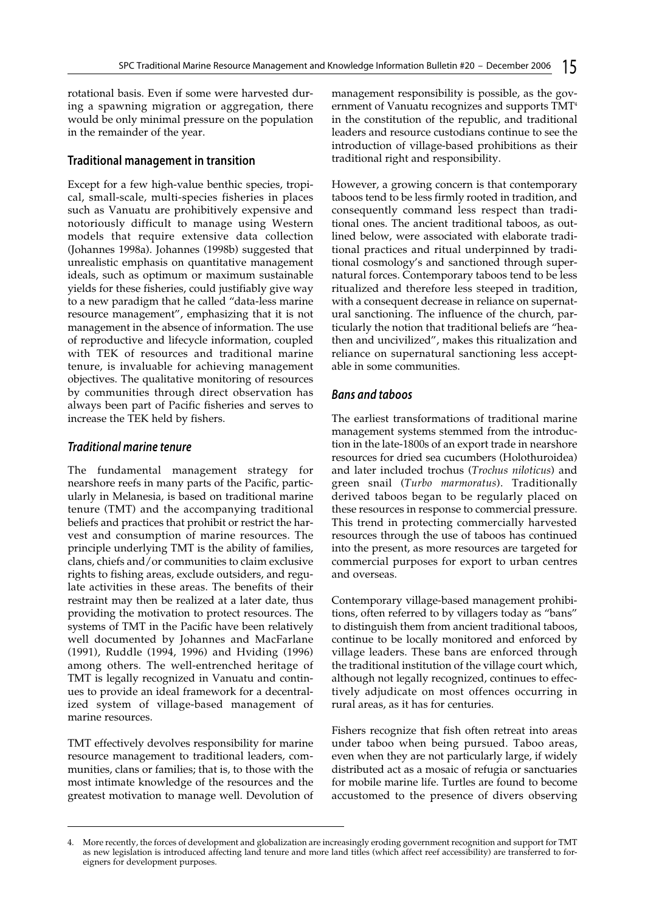rotational basis. Even if some were harvested during a spawning migration or aggregation, there would be only minimal pressure on the population in the remainder of the year.

## **Traditional management in transition**

Except for a few high-value benthic species, tropical, small-scale, multi-species fisheries in places such as Vanuatu are prohibitively expensive and notoriously difficult to manage using Western models that require extensive data collection (Johannes 1998a). Johannes (1998b) suggested that unrealistic emphasis on quantitative management ideals, such as optimum or maximum sustainable yields for these fisheries, could justifiably give way to a new paradigm that he called "data-less marine resource management", emphasizing that it is not management in the absence of information. The use of reproductive and lifecycle information, coupled with TEK of resources and traditional marine tenure, is invaluable for achieving management objectives. The qualitative monitoring of resources by communities through direct observation has always been part of Pacific fisheries and serves to increase the TEK held by fishers.

## **Traditional marine tenure**

The fundamental management strategy for nearshore reefs in many parts of the Pacific, particularly in Melanesia, is based on traditional marine tenure (TMT) and the accompanying traditional beliefs and practices that prohibit or restrict the harvest and consumption of marine resources. The principle underlying TMT is the ability of families, clans, chiefs and/or communities to claim exclusive rights to fishing areas, exclude outsiders, and regulate activities in these areas. The benefits of their restraint may then be realized at a later date, thus providing the motivation to protect resources. The systems of TMT in the Pacific have been relatively well documented by Johannes and MacFarlane (1991), Ruddle (1994, 1996) and Hviding (1996) among others. The well-entrenched heritage of TMT is legally recognized in Vanuatu and continues to provide an ideal framework for a decentralized system of village-based management of marine resources.

TMT effectively devolves responsibility for marine resource management to traditional leaders, communities, clans or families; that is, to those with the most intimate knowledge of the resources and the greatest motivation to manage well. Devolution of management responsibility is possible, as the government of Vanuatu recognizes and supports TMT4 in the constitution of the republic, and traditional leaders and resource custodians continue to see the introduction of village-based prohibitions as their traditional right and responsibility.

However, a growing concern is that contemporary taboos tend to be less firmly rooted in tradition, and consequently command less respect than traditional ones. The ancient traditional taboos, as outlined below, were associated with elaborate traditional practices and ritual underpinned by traditional cosmology's and sanctioned through supernatural forces. Contemporary taboos tend to be less ritualized and therefore less steeped in tradition, with a consequent decrease in reliance on supernatural sanctioning. The influence of the church, particularly the notion that traditional beliefs are "heathen and uncivilized", makes this ritualization and reliance on supernatural sanctioning less acceptable in some communities.

## **Bans and taboos**

The earliest transformations of traditional marine management systems stemmed from the introduction in the late-1800s of an export trade in nearshore resources for dried sea cucumbers (Holothuroidea) and later included trochus (*Trochus niloticus*) and green snail (*Turbo marmoratus*). Traditionally derived taboos began to be regularly placed on these resources in response to commercial pressure. This trend in protecting commercially harvested resources through the use of taboos has continued into the present, as more resources are targeted for commercial purposes for export to urban centres and overseas.

Contemporary village-based management prohibitions, often referred to by villagers today as "bans" to distinguish them from ancient traditional taboos, continue to be locally monitored and enforced by village leaders. These bans are enforced through the traditional institution of the village court which, although not legally recognized, continues to effectively adjudicate on most offences occurring in rural areas, as it has for centuries.

Fishers recognize that fish often retreat into areas under taboo when being pursued. Taboo areas, even when they are not particularly large, if widely distributed act as a mosaic of refugia or sanctuaries for mobile marine life. Turtles are found to become accustomed to the presence of divers observing

<sup>4.</sup> More recently, the forces of development and globalization are increasingly eroding government recognition and support for TMT as new legislation is introduced affecting land tenure and more land titles (which affect reef accessibility) are transferred to foreigners for development purposes.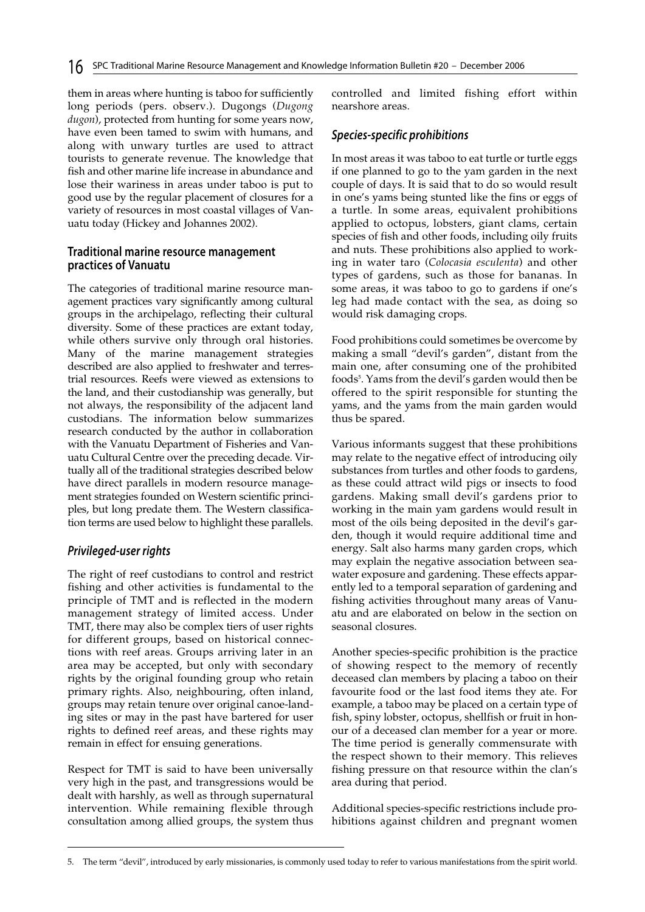them in areas where hunting is taboo for sufficiently long periods (pers. observ.). Dugongs (*Dugong dugon*), protected from hunting for some years now, have even been tamed to swim with humans, and along with unwary turtles are used to attract tourists to generate revenue. The knowledge that fish and other marine life increase in abundance and lose their wariness in areas under taboo is put to good use by the regular placement of closures for a variety of resources in most coastal villages of Vanuatu today (Hickey and Johannes 2002).

#### **Traditional marine resource management practices of Vanuatu**

The categories of traditional marine resource management practices vary significantly among cultural groups in the archipelago, reflecting their cultural diversity. Some of these practices are extant today, while others survive only through oral histories. Many of the marine management strategies described are also applied to freshwater and terrestrial resources. Reefs were viewed as extensions to the land, and their custodianship was generally, but not always, the responsibility of the adjacent land custodians. The information below summarizes research conducted by the author in collaboration with the Vanuatu Department of Fisheries and Vanuatu Cultural Centre over the preceding decade. Virtually all of the traditional strategies described below have direct parallels in modern resource management strategies founded on Western scientific principles, but long predate them. The Western classification terms are used below to highlight these parallels.

## **Privileged-user rights**

The right of reef custodians to control and restrict fishing and other activities is fundamental to the principle of TMT and is reflected in the modern management strategy of limited access. Under TMT, there may also be complex tiers of user rights for different groups, based on historical connections with reef areas. Groups arriving later in an area may be accepted, but only with secondary rights by the original founding group who retain primary rights. Also, neighbouring, often inland, groups may retain tenure over original canoe-landing sites or may in the past have bartered for user rights to defined reef areas, and these rights may remain in effect for ensuing generations.

Respect for TMT is said to have been universally very high in the past, and transgressions would be dealt with harshly, as well as through supernatural intervention. While remaining flexible through consultation among allied groups, the system thus

controlled and limited fishing effort within nearshore areas.

#### **Species-specific prohibitions**

In most areas it was taboo to eat turtle or turtle eggs if one planned to go to the yam garden in the next couple of days. It is said that to do so would result in one's yams being stunted like the fins or eggs of a turtle. In some areas, equivalent prohibitions applied to octopus, lobsters, giant clams, certain species of fish and other foods, including oily fruits and nuts. These prohibitions also applied to working in water taro (*Colocasia esculenta*) and other types of gardens, such as those for bananas. In some areas, it was taboo to go to gardens if one's leg had made contact with the sea, as doing so would risk damaging crops.

Food prohibitions could sometimes be overcome by making a small "devil's garden", distant from the main one, after consuming one of the prohibited foods<sup>5</sup>. Yams from the devil's garden would then be offered to the spirit responsible for stunting the yams, and the yams from the main garden would thus be spared.

Various informants suggest that these prohibitions may relate to the negative effect of introducing oily substances from turtles and other foods to gardens, as these could attract wild pigs or insects to food gardens. Making small devil's gardens prior to working in the main yam gardens would result in most of the oils being deposited in the devil's garden, though it would require additional time and energy. Salt also harms many garden crops, which may explain the negative association between seawater exposure and gardening. These effects apparently led to a temporal separation of gardening and fishing activities throughout many areas of Vanuatu and are elaborated on below in the section on seasonal closures.

Another species-specific prohibition is the practice of showing respect to the memory of recently deceased clan members by placing a taboo on their favourite food or the last food items they ate. For example, a taboo may be placed on a certain type of fish, spiny lobster, octopus, shellfish or fruit in honour of a deceased clan member for a year or more. The time period is generally commensurate with the respect shown to their memory. This relieves fishing pressure on that resource within the clan's area during that period.

Additional species-specific restrictions include prohibitions against children and pregnant women

<sup>5.</sup> The term "devil", introduced by early missionaries, is commonly used today to refer to various manifestations from the spirit world.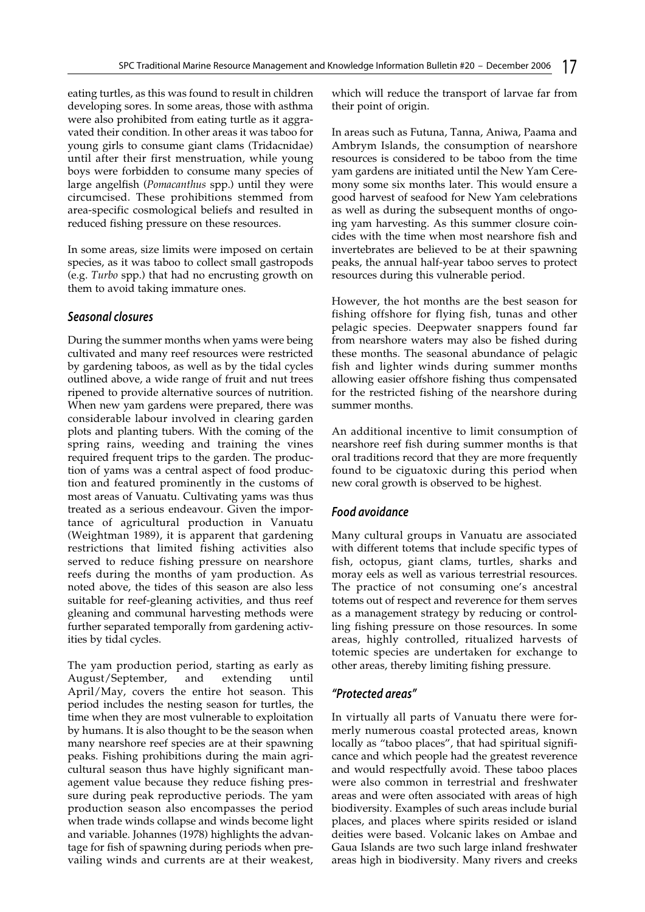eating turtles, as this was found to result in children developing sores. In some areas, those with asthma were also prohibited from eating turtle as it aggravated their condition. In other areas it was taboo for young girls to consume giant clams (Tridacnidae) until after their first menstruation, while young boys were forbidden to consume many species of large angelfish (*Pomacanthus* spp.) until they were circumcised. These prohibitions stemmed from area-specific cosmological beliefs and resulted in reduced fishing pressure on these resources.

In some areas, size limits were imposed on certain species, as it was taboo to collect small gastropods (e.g. *Turbo* spp.) that had no encrusting growth on them to avoid taking immature ones.

## **Seasonal closures**

During the summer months when yams were being cultivated and many reef resources were restricted by gardening taboos, as well as by the tidal cycles outlined above, a wide range of fruit and nut trees ripened to provide alternative sources of nutrition. When new yam gardens were prepared, there was considerable labour involved in clearing garden plots and planting tubers. With the coming of the spring rains, weeding and training the vines required frequent trips to the garden. The production of yams was a central aspect of food production and featured prominently in the customs of most areas of Vanuatu. Cultivating yams was thus treated as a serious endeavour. Given the importance of agricultural production in Vanuatu (Weightman 1989), it is apparent that gardening restrictions that limited fishing activities also served to reduce fishing pressure on nearshore reefs during the months of yam production. As noted above, the tides of this season are also less suitable for reef-gleaning activities, and thus reef gleaning and communal harvesting methods were further separated temporally from gardening activities by tidal cycles.

The yam production period, starting as early as August/September, and extending until April/May, covers the entire hot season. This period includes the nesting season for turtles, the time when they are most vulnerable to exploitation by humans. It is also thought to be the season when many nearshore reef species are at their spawning peaks. Fishing prohibitions during the main agricultural season thus have highly significant management value because they reduce fishing pressure during peak reproductive periods. The yam production season also encompasses the period when trade winds collapse and winds become light and variable. Johannes (1978) highlights the advantage for fish of spawning during periods when prevailing winds and currents are at their weakest,

which will reduce the transport of larvae far from their point of origin.

In areas such as Futuna, Tanna, Aniwa, Paama and Ambrym Islands, the consumption of nearshore resources is considered to be taboo from the time yam gardens are initiated until the New Yam Ceremony some six months later. This would ensure a good harvest of seafood for New Yam celebrations as well as during the subsequent months of ongoing yam harvesting. As this summer closure coincides with the time when most nearshore fish and invertebrates are believed to be at their spawning peaks, the annual half-year taboo serves to protect resources during this vulnerable period.

However, the hot months are the best season for fishing offshore for flying fish, tunas and other pelagic species. Deepwater snappers found far from nearshore waters may also be fished during these months. The seasonal abundance of pelagic fish and lighter winds during summer months allowing easier offshore fishing thus compensated for the restricted fishing of the nearshore during summer months.

An additional incentive to limit consumption of nearshore reef fish during summer months is that oral traditions record that they are more frequently found to be ciguatoxic during this period when new coral growth is observed to be highest.

## **Food avoidance**

Many cultural groups in Vanuatu are associated with different totems that include specific types of fish, octopus, giant clams, turtles, sharks and moray eels as well as various terrestrial resources. The practice of not consuming one's ancestral totems out of respect and reverence for them serves as a management strategy by reducing or controlling fishing pressure on those resources. In some areas, highly controlled, ritualized harvests of totemic species are undertaken for exchange to other areas, thereby limiting fishing pressure.

## **"Protected areas"**

In virtually all parts of Vanuatu there were formerly numerous coastal protected areas, known locally as "taboo places", that had spiritual significance and which people had the greatest reverence and would respectfully avoid. These taboo places were also common in terrestrial and freshwater areas and were often associated with areas of high biodiversity. Examples of such areas include burial places, and places where spirits resided or island deities were based. Volcanic lakes on Ambae and Gaua Islands are two such large inland freshwater areas high in biodiversity. Many rivers and creeks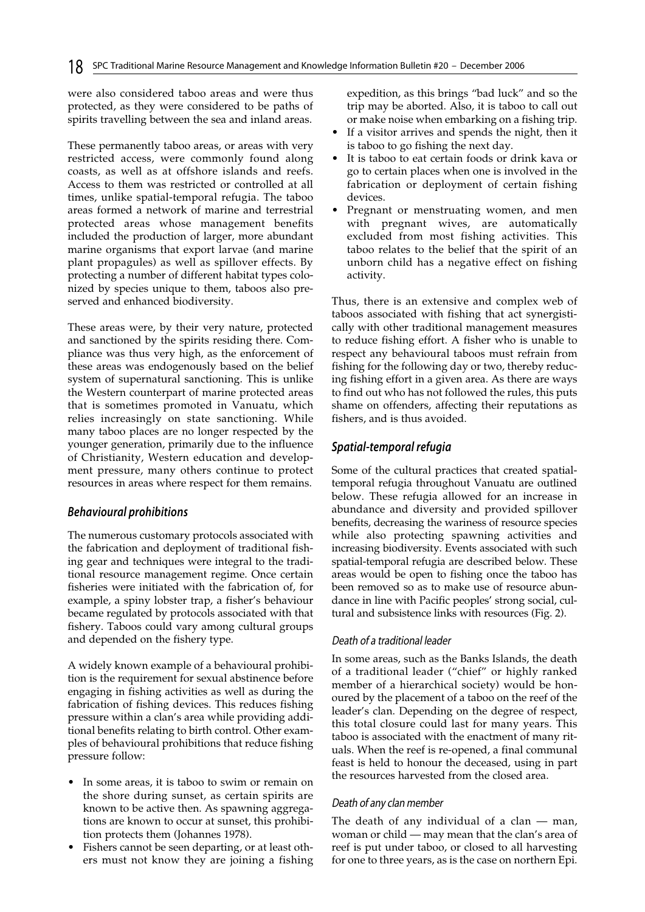were also considered taboo areas and were thus protected, as they were considered to be paths of spirits travelling between the sea and inland areas.

These permanently taboo areas, or areas with very restricted access, were commonly found along coasts, as well as at offshore islands and reefs. Access to them was restricted or controlled at all times, unlike spatial-temporal refugia. The taboo areas formed a network of marine and terrestrial protected areas whose management benefits included the production of larger, more abundant marine organisms that export larvae (and marine plant propagules) as well as spillover effects. By protecting a number of different habitat types colonized by species unique to them, taboos also preserved and enhanced biodiversity.

These areas were, by their very nature, protected and sanctioned by the spirits residing there. Compliance was thus very high, as the enforcement of these areas was endogenously based on the belief system of supernatural sanctioning. This is unlike the Western counterpart of marine protected areas that is sometimes promoted in Vanuatu, which relies increasingly on state sanctioning. While many taboo places are no longer respected by the younger generation, primarily due to the influence of Christianity, Western education and development pressure, many others continue to protect resources in areas where respect for them remains.

## **Behavioural prohibitions**

The numerous customary protocols associated with the fabrication and deployment of traditional fishing gear and techniques were integral to the traditional resource management regime. Once certain fisheries were initiated with the fabrication of, for example, a spiny lobster trap, a fisher's behaviour became regulated by protocols associated with that fishery. Taboos could vary among cultural groups and depended on the fishery type.

A widely known example of a behavioural prohibition is the requirement for sexual abstinence before engaging in fishing activities as well as during the fabrication of fishing devices. This reduces fishing pressure within a clan's area while providing additional benefits relating to birth control. Other examples of behavioural prohibitions that reduce fishing pressure follow:

- In some areas, it is taboo to swim or remain on the shore during sunset, as certain spirits are known to be active then. As spawning aggregations are known to occur at sunset, this prohibition protects them (Johannes 1978).
- Fishers cannot be seen departing, or at least others must not know they are joining a fishing

expedition, as this brings "bad luck" and so the trip may be aborted. Also, it is taboo to call out or make noise when embarking on a fishing trip.

- If a visitor arrives and spends the night, then it is taboo to go fishing the next day.
- It is taboo to eat certain foods or drink kava or go to certain places when one is involved in the fabrication or deployment of certain fishing devices.
- Pregnant or menstruating women, and men with pregnant wives, are automatically excluded from most fishing activities. This taboo relates to the belief that the spirit of an unborn child has a negative effect on fishing activity.

Thus, there is an extensive and complex web of taboos associated with fishing that act synergistically with other traditional management measures to reduce fishing effort. A fisher who is unable to respect any behavioural taboos must refrain from fishing for the following day or two, thereby reducing fishing effort in a given area. As there are ways to find out who has not followed the rules, this puts shame on offenders, affecting their reputations as fishers, and is thus avoided.

## **Spatial-temporal refugia**

Some of the cultural practices that created spatialtemporal refugia throughout Vanuatu are outlined below. These refugia allowed for an increase in abundance and diversity and provided spillover benefits, decreasing the wariness of resource species while also protecting spawning activities and increasing biodiversity. Events associated with such spatial-temporal refugia are described below. These areas would be open to fishing once the taboo has been removed so as to make use of resource abundance in line with Pacific peoples' strong social, cultural and subsistence links with resources (Fig. 2).

## Death of a traditional leader

In some areas, such as the Banks Islands, the death of a traditional leader ("chief" or highly ranked member of a hierarchical society) would be honoured by the placement of a taboo on the reef of the leader's clan. Depending on the degree of respect, this total closure could last for many years. This taboo is associated with the enactment of many rituals. When the reef is re-opened, a final communal feast is held to honour the deceased, using in part the resources harvested from the closed area.

## Death of any clan member

The death of any individual of a clan — man, woman or child — may mean that the clan's area of reef is put under taboo, or closed to all harvesting for one to three years, as is the case on northern Epi.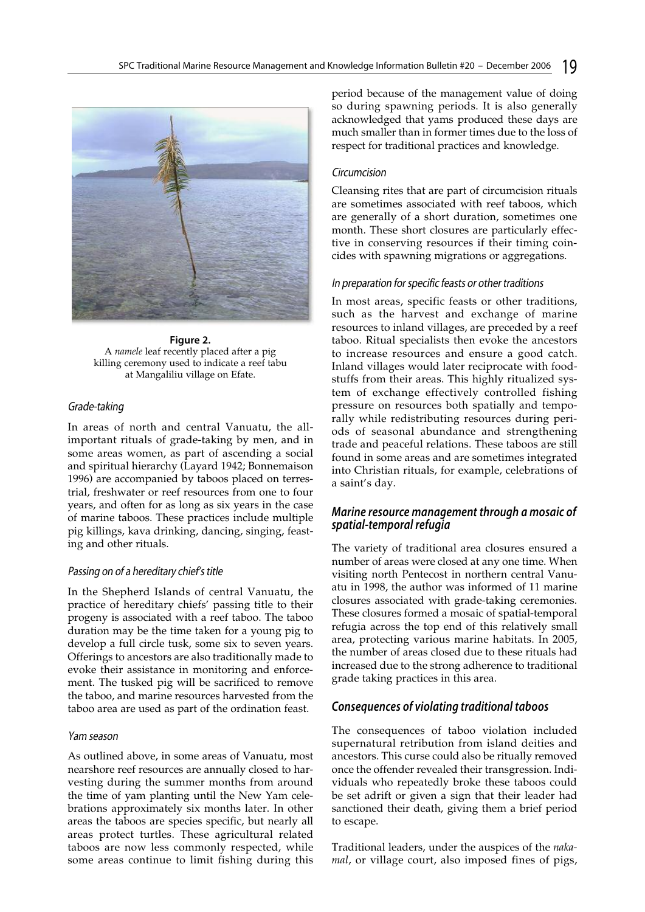

**Figure 2.**  A *namele* leaf recently placed after a pig killing ceremony used to indicate a reef tabu at Mangaliliu village on Efate.

#### Grade-taking

In areas of north and central Vanuatu, the allimportant rituals of grade-taking by men, and in some areas women, as part of ascending a social and spiritual hierarchy (Layard 1942; Bonnemaison 1996) are accompanied by taboos placed on terrestrial, freshwater or reef resources from one to four years, and often for as long as six years in the case of marine taboos. These practices include multiple pig killings, kava drinking, dancing, singing, feasting and other rituals.

#### Passing on of a hereditary chief's title

In the Shepherd Islands of central Vanuatu, the practice of hereditary chiefs' passing title to their progeny is associated with a reef taboo. The taboo duration may be the time taken for a young pig to develop a full circle tusk, some six to seven years. Offerings to ancestors are also traditionally made to evoke their assistance in monitoring and enforcement. The tusked pig will be sacrificed to remove the taboo, and marine resources harvested from the taboo area are used as part of the ordination feast.

#### Yam season

As outlined above, in some areas of Vanuatu, most nearshore reef resources are annually closed to harvesting during the summer months from around the time of yam planting until the New Yam celebrations approximately six months later. In other areas the taboos are species specific, but nearly all areas protect turtles. These agricultural related taboos are now less commonly respected, while some areas continue to limit fishing during this

period because of the management value of doing so during spawning periods. It is also generally acknowledged that yams produced these days are much smaller than in former times due to the loss of respect for traditional practices and knowledge.

#### Circumcision

Cleansing rites that are part of circumcision rituals are sometimes associated with reef taboos, which are generally of a short duration, sometimes one month. These short closures are particularly effective in conserving resources if their timing coincides with spawning migrations or aggregations.

#### In preparation for specific feasts or other traditions

In most areas, specific feasts or other traditions, such as the harvest and exchange of marine resources to inland villages, are preceded by a reef taboo. Ritual specialists then evoke the ancestors to increase resources and ensure a good catch. Inland villages would later reciprocate with foodstuffs from their areas. This highly ritualized system of exchange effectively controlled fishing pressure on resources both spatially and temporally while redistributing resources during periods of seasonal abundance and strengthening trade and peaceful relations. These taboos are still found in some areas and are sometimes integrated into Christian rituals, for example, celebrations of a saint's day.

#### **Marine resource management through a mosaic of spatial-temporal refugia**

The variety of traditional area closures ensured a number of areas were closed at any one time. When visiting north Pentecost in northern central Vanuatu in 1998, the author was informed of 11 marine closures associated with grade-taking ceremonies. These closures formed a mosaic of spatial-temporal refugia across the top end of this relatively small area, protecting various marine habitats. In 2005, the number of areas closed due to these rituals had increased due to the strong adherence to traditional grade taking practices in this area.

#### **Consequences of violating traditional taboos**

The consequences of taboo violation included supernatural retribution from island deities and ancestors. This curse could also be ritually removed once the offender revealed their transgression. Individuals who repeatedly broke these taboos could be set adrift or given a sign that their leader had sanctioned their death, giving them a brief period to escape.

Traditional leaders, under the auspices of the *nakamal*, or village court, also imposed fines of pigs,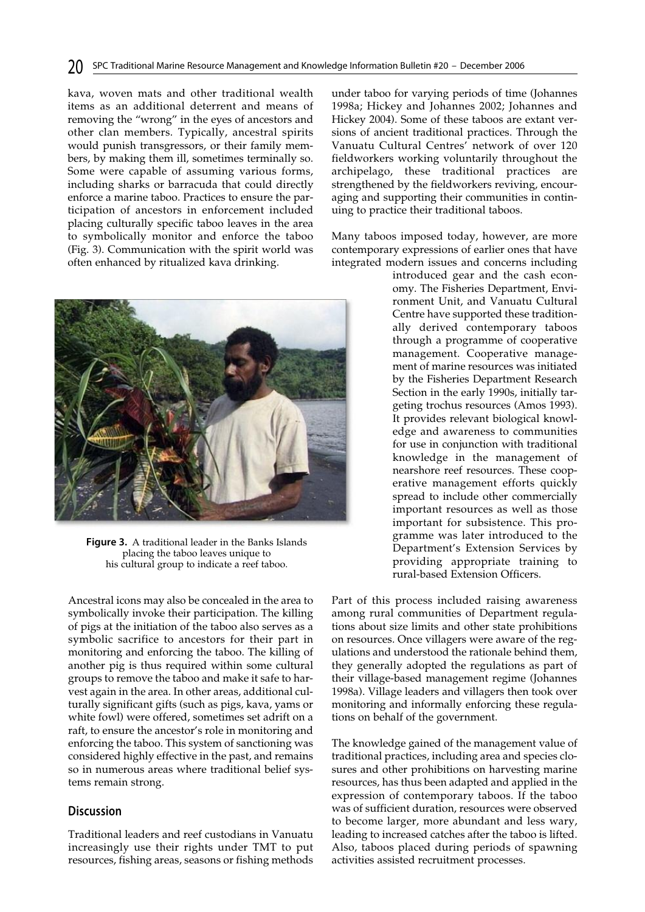kava, woven mats and other traditional wealth items as an additional deterrent and means of removing the "wrong" in the eyes of ancestors and other clan members. Typically, ancestral spirits would punish transgressors, or their family members, by making them ill, sometimes terminally so. Some were capable of assuming various forms, including sharks or barracuda that could directly enforce a marine taboo. Practices to ensure the participation of ancestors in enforcement included placing culturally specific taboo leaves in the area to symbolically monitor and enforce the taboo (Fig. 3). Communication with the spirit world was often enhanced by ritualized kava drinking.



**Figure 3.** A traditional leader in the Banks Islands placing the taboo leaves unique to his cultural group to indicate a reef taboo.

Ancestral icons may also be concealed in the area to symbolically invoke their participation. The killing of pigs at the initiation of the taboo also serves as a symbolic sacrifice to ancestors for their part in monitoring and enforcing the taboo. The killing of another pig is thus required within some cultural groups to remove the taboo and make it safe to harvest again in the area. In other areas, additional culturally significant gifts (such as pigs, kava, yams or white fowl) were offered, sometimes set adrift on a raft, to ensure the ancestor's role in monitoring and enforcing the taboo. This system of sanctioning was considered highly effective in the past, and remains so in numerous areas where traditional belief systems remain strong.

## **Discussion**

Traditional leaders and reef custodians in Vanuatu increasingly use their rights under TMT to put resources, fishing areas, seasons or fishing methods under taboo for varying periods of time (Johannes 1998a; Hickey and Johannes 2002; Johannes and Hickey 2004). Some of these taboos are extant versions of ancient traditional practices. Through the Vanuatu Cultural Centres' network of over 120 fieldworkers working voluntarily throughout the archipelago, these traditional practices are strengthened by the fieldworkers reviving, encouraging and supporting their communities in continuing to practice their traditional taboos.

Many taboos imposed today, however, are more contemporary expressions of earlier ones that have integrated modern issues and concerns including

> introduced gear and the cash economy. The Fisheries Department, Environment Unit, and Vanuatu Cultural Centre have supported these traditionally derived contemporary taboos through a programme of cooperative management. Cooperative management of marine resources was initiated by the Fisheries Department Research Section in the early 1990s, initially targeting trochus resources (Amos 1993). It provides relevant biological knowledge and awareness to communities for use in conjunction with traditional knowledge in the management of nearshore reef resources. These cooperative management efforts quickly spread to include other commercially important resources as well as those important for subsistence. This programme was later introduced to the Department's Extension Services by providing appropriate training to rural-based Extension Officers.

Part of this process included raising awareness among rural communities of Department regulations about size limits and other state prohibitions on resources. Once villagers were aware of the regulations and understood the rationale behind them, they generally adopted the regulations as part of their village-based management regime (Johannes 1998a). Village leaders and villagers then took over monitoring and informally enforcing these regulations on behalf of the government.

The knowledge gained of the management value of traditional practices, including area and species closures and other prohibitions on harvesting marine resources, has thus been adapted and applied in the expression of contemporary taboos. If the taboo was of sufficient duration, resources were observed to become larger, more abundant and less wary, leading to increased catches after the taboo is lifted. Also, taboos placed during periods of spawning activities assisted recruitment processes.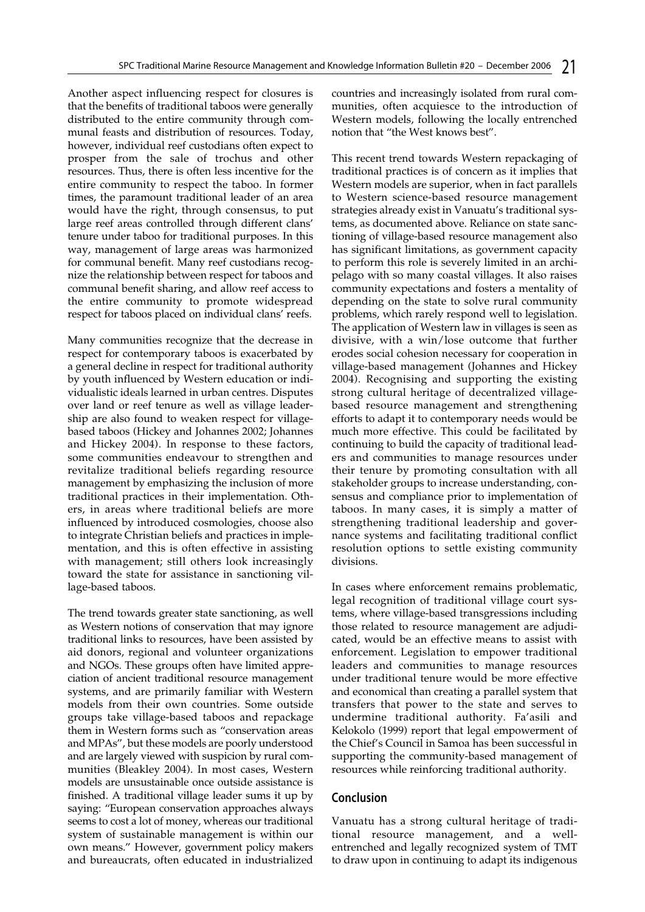Another aspect influencing respect for closures is that the benefits of traditional taboos were generally distributed to the entire community through communal feasts and distribution of resources. Today, however, individual reef custodians often expect to prosper from the sale of trochus and other resources. Thus, there is often less incentive for the entire community to respect the taboo. In former times, the paramount traditional leader of an area would have the right, through consensus, to put large reef areas controlled through different clans' tenure under taboo for traditional purposes. In this way, management of large areas was harmonized for communal benefit. Many reef custodians recognize the relationship between respect for taboos and communal benefit sharing, and allow reef access to the entire community to promote widespread respect for taboos placed on individual clans' reefs.

Many communities recognize that the decrease in respect for contemporary taboos is exacerbated by a general decline in respect for traditional authority by youth influenced by Western education or individualistic ideals learned in urban centres. Disputes over land or reef tenure as well as village leadership are also found to weaken respect for villagebased taboos (Hickey and Johannes 2002; Johannes and Hickey 2004). In response to these factors, some communities endeavour to strengthen and revitalize traditional beliefs regarding resource management by emphasizing the inclusion of more traditional practices in their implementation. Others, in areas where traditional beliefs are more influenced by introduced cosmologies, choose also to integrate Christian beliefs and practices in implementation, and this is often effective in assisting with management; still others look increasingly toward the state for assistance in sanctioning village-based taboos.

The trend towards greater state sanctioning, as well as Western notions of conservation that may ignore traditional links to resources, have been assisted by aid donors, regional and volunteer organizations and NGOs. These groups often have limited appreciation of ancient traditional resource management systems, and are primarily familiar with Western models from their own countries. Some outside groups take village-based taboos and repackage them in Western forms such as "conservation areas and MPAs", but these models are poorly understood and are largely viewed with suspicion by rural communities (Bleakley 2004). In most cases, Western models are unsustainable once outside assistance is finished. A traditional village leader sums it up by saying: "European conservation approaches always seems to cost a lot of money, whereas our traditional system of sustainable management is within our own means." However, government policy makers and bureaucrats, often educated in industrialized

countries and increasingly isolated from rural communities, often acquiesce to the introduction of Western models, following the locally entrenched notion that "the West knows best".

This recent trend towards Western repackaging of traditional practices is of concern as it implies that Western models are superior, when in fact parallels to Western science-based resource management strategies already exist in Vanuatu's traditional systems, as documented above. Reliance on state sanctioning of village-based resource management also has significant limitations, as government capacity to perform this role is severely limited in an archipelago with so many coastal villages. It also raises community expectations and fosters a mentality of depending on the state to solve rural community problems, which rarely respond well to legislation. The application of Western law in villages is seen as divisive, with a win/lose outcome that further erodes social cohesion necessary for cooperation in village-based management (Johannes and Hickey 2004). Recognising and supporting the existing strong cultural heritage of decentralized villagebased resource management and strengthening efforts to adapt it to contemporary needs would be much more effective. This could be facilitated by continuing to build the capacity of traditional leaders and communities to manage resources under their tenure by promoting consultation with all stakeholder groups to increase understanding, consensus and compliance prior to implementation of taboos. In many cases, it is simply a matter of strengthening traditional leadership and governance systems and facilitating traditional conflict resolution options to settle existing community divisions.

In cases where enforcement remains problematic, legal recognition of traditional village court systems, where village-based transgressions including those related to resource management are adjudicated, would be an effective means to assist with enforcement. Legislation to empower traditional leaders and communities to manage resources under traditional tenure would be more effective and economical than creating a parallel system that transfers that power to the state and serves to undermine traditional authority. Fa'asili and Kelokolo (1999) report that legal empowerment of the Chief's Council in Samoa has been successful in supporting the community-based management of resources while reinforcing traditional authority.

#### **Conclusion**

Vanuatu has a strong cultural heritage of traditional resource management, and a wellentrenched and legally recognized system of TMT to draw upon in continuing to adapt its indigenous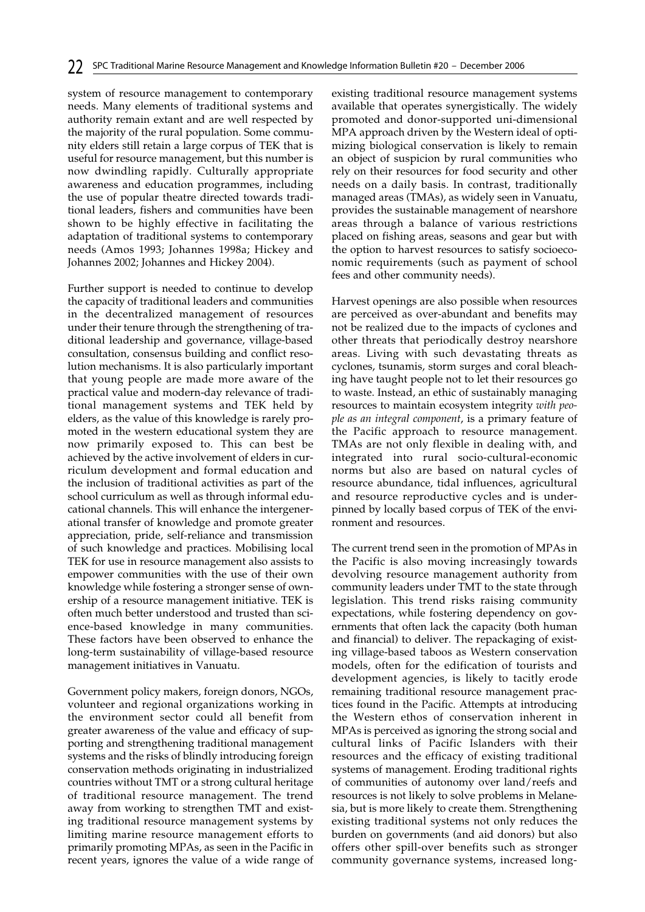system of resource management to contemporary needs. Many elements of traditional systems and authority remain extant and are well respected by the majority of the rural population. Some community elders still retain a large corpus of TEK that is useful for resource management, but this number is now dwindling rapidly. Culturally appropriate awareness and education programmes, including the use of popular theatre directed towards traditional leaders, fishers and communities have been shown to be highly effective in facilitating the adaptation of traditional systems to contemporary needs (Amos 1993; Johannes 1998a; Hickey and Johannes 2002; Johannes and Hickey 2004).

Further support is needed to continue to develop the capacity of traditional leaders and communities in the decentralized management of resources under their tenure through the strengthening of traditional leadership and governance, village-based consultation, consensus building and conflict resolution mechanisms. It is also particularly important that young people are made more aware of the practical value and modern-day relevance of traditional management systems and TEK held by elders, as the value of this knowledge is rarely promoted in the western educational system they are now primarily exposed to. This can best be achieved by the active involvement of elders in curriculum development and formal education and the inclusion of traditional activities as part of the school curriculum as well as through informal educational channels. This will enhance the intergenerational transfer of knowledge and promote greater appreciation, pride, self-reliance and transmission of such knowledge and practices. Mobilising local TEK for use in resource management also assists to empower communities with the use of their own knowledge while fostering a stronger sense of ownership of a resource management initiative. TEK is often much better understood and trusted than science-based knowledge in many communities. These factors have been observed to enhance the long-term sustainability of village-based resource management initiatives in Vanuatu.

Government policy makers, foreign donors, NGOs, volunteer and regional organizations working in the environment sector could all benefit from greater awareness of the value and efficacy of supporting and strengthening traditional management systems and the risks of blindly introducing foreign conservation methods originating in industrialized countries without TMT or a strong cultural heritage of traditional resource management. The trend away from working to strengthen TMT and existing traditional resource management systems by limiting marine resource management efforts to primarily promoting MPAs, as seen in the Pacific in recent years, ignores the value of a wide range of

existing traditional resource management systems available that operates synergistically. The widely promoted and donor-supported uni-dimensional MPA approach driven by the Western ideal of optimizing biological conservation is likely to remain an object of suspicion by rural communities who rely on their resources for food security and other needs on a daily basis. In contrast, traditionally managed areas (TMAs), as widely seen in Vanuatu, provides the sustainable management of nearshore areas through a balance of various restrictions placed on fishing areas, seasons and gear but with the option to harvest resources to satisfy socioeconomic requirements (such as payment of school fees and other community needs).

Harvest openings are also possible when resources are perceived as over-abundant and benefits may not be realized due to the impacts of cyclones and other threats that periodically destroy nearshore areas. Living with such devastating threats as cyclones, tsunamis, storm surges and coral bleaching have taught people not to let their resources go to waste. Instead, an ethic of sustainably managing resources to maintain ecosystem integrity *with people as an integral component*, is a primary feature of the Pacific approach to resource management. TMAs are not only flexible in dealing with, and integrated into rural socio-cultural-economic norms but also are based on natural cycles of resource abundance, tidal influences, agricultural and resource reproductive cycles and is underpinned by locally based corpus of TEK of the environment and resources.

The current trend seen in the promotion of MPAs in the Pacific is also moving increasingly towards devolving resource management authority from community leaders under TMT to the state through legislation. This trend risks raising community expectations, while fostering dependency on governments that often lack the capacity (both human and financial) to deliver. The repackaging of existing village-based taboos as Western conservation models, often for the edification of tourists and development agencies, is likely to tacitly erode remaining traditional resource management practices found in the Pacific. Attempts at introducing the Western ethos of conservation inherent in MPAs is perceived as ignoring the strong social and cultural links of Pacific Islanders with their resources and the efficacy of existing traditional systems of management. Eroding traditional rights of communities of autonomy over land/reefs and resources is not likely to solve problems in Melanesia, but is more likely to create them. Strengthening existing traditional systems not only reduces the burden on governments (and aid donors) but also offers other spill-over benefits such as stronger community governance systems, increased long